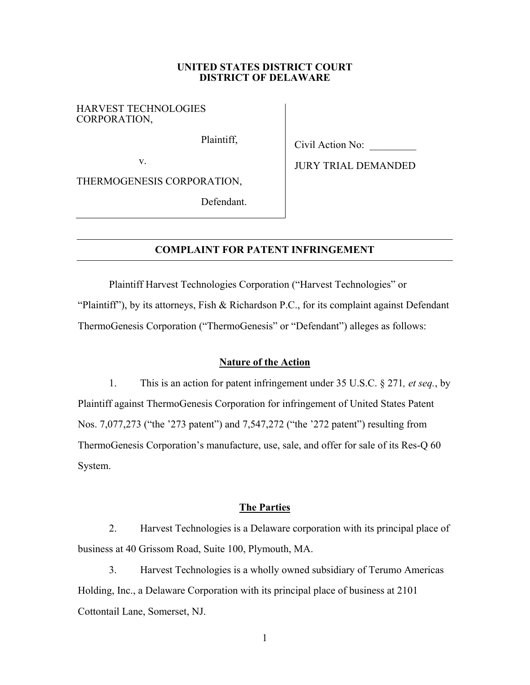#### **UNITED STATES DISTRICT COURT DISTRICT OF DELAWARE**

## HARVEST TECHNOLOGIES CORPORATION,

Plaintiff,

Civil Action No: \_\_\_\_\_\_\_\_\_

v.

THERMOGENESIS CORPORATION,

Defendant.

JURY TRIAL DEMANDED

# **COMPLAINT FOR PATENT INFRINGEMENT**

Plaintiff Harvest Technologies Corporation ("Harvest Technologies" or "Plaintiff"), by its attorneys, Fish & Richardson P.C., for its complaint against Defendant ThermoGenesis Corporation ("ThermoGenesis" or "Defendant") alleges as follows:

# **Nature of the Action**

1. This is an action for patent infringement under 35 U.S.C. § 271*, et seq.*, by Plaintiff against ThermoGenesis Corporation for infringement of United States Patent Nos. 7,077,273 ("the '273 patent") and 7,547,272 ("the '272 patent") resulting from ThermoGenesis Corporation's manufacture, use, sale, and offer for sale of its Res-Q 60 System.

# **The Parties**

2. Harvest Technologies is a Delaware corporation with its principal place of business at 40 Grissom Road, Suite 100, Plymouth, MA.

3. Harvest Technologies is a wholly owned subsidiary of Terumo Americas Holding, Inc., a Delaware Corporation with its principal place of business at 2101 Cottontail Lane, Somerset, NJ.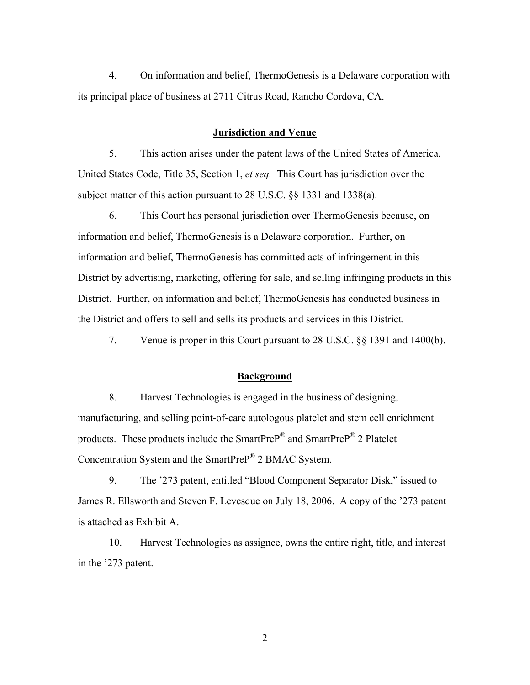4. On information and belief, ThermoGenesis is a Delaware corporation with its principal place of business at 2711 Citrus Road, Rancho Cordova, CA.

## **Jurisdiction and Venue**

5. This action arises under the patent laws of the United States of America, United States Code, Title 35, Section 1, *et seq.* This Court has jurisdiction over the subject matter of this action pursuant to 28 U.S.C. §§ 1331 and 1338(a).

6. This Court has personal jurisdiction over ThermoGenesis because, on information and belief, ThermoGenesis is a Delaware corporation. Further, on information and belief, ThermoGenesis has committed acts of infringement in this District by advertising, marketing, offering for sale, and selling infringing products in this District. Further, on information and belief, ThermoGenesis has conducted business in the District and offers to sell and sells its products and services in this District.

7. Venue is proper in this Court pursuant to 28 U.S.C. §§ 1391 and 1400(b).

#### **Background**

8. Harvest Technologies is engaged in the business of designing, manufacturing, and selling point-of-care autologous platelet and stem cell enrichment products. These products include the SmartPreP® and SmartPreP® 2 Platelet Concentration System and the SmartPreP® 2 BMAC System.

9. The '273 patent, entitled "Blood Component Separator Disk," issued to James R. Ellsworth and Steven F. Levesque on July 18, 2006. A copy of the '273 patent is attached as Exhibit A.

10. Harvest Technologies as assignee, owns the entire right, title, and interest in the '273 patent.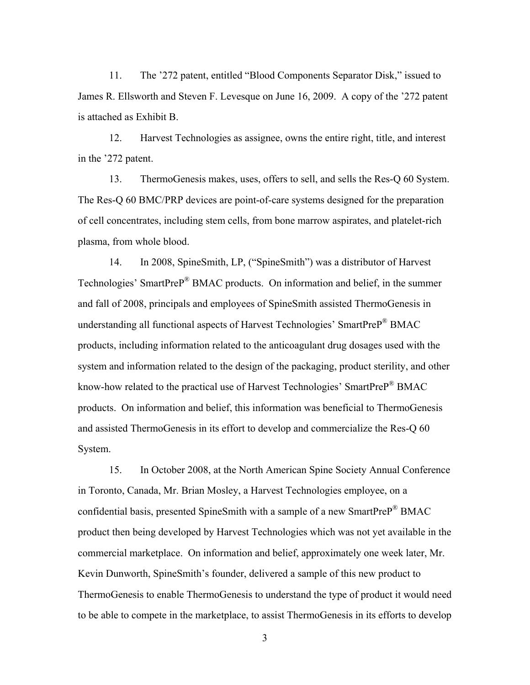11. The '272 patent, entitled "Blood Components Separator Disk," issued to James R. Ellsworth and Steven F. Levesque on June 16, 2009. A copy of the '272 patent is attached as Exhibit B.

12. Harvest Technologies as assignee, owns the entire right, title, and interest in the '272 patent.

13. ThermoGenesis makes, uses, offers to sell, and sells the Res-Q 60 System. The Res-Q 60 BMC/PRP devices are point-of-care systems designed for the preparation of cell concentrates, including stem cells, from bone marrow aspirates, and platelet-rich plasma, from whole blood.

14. In 2008, SpineSmith, LP, ("SpineSmith") was a distributor of Harvest Technologies' SmartPreP® BMAC products. On information and belief, in the summer and fall of 2008, principals and employees of SpineSmith assisted ThermoGenesis in understanding all functional aspects of Harvest Technologies' SmartPreP® BMAC products, including information related to the anticoagulant drug dosages used with the system and information related to the design of the packaging, product sterility, and other know-how related to the practical use of Harvest Technologies' SmartPreP® BMAC products. On information and belief, this information was beneficial to ThermoGenesis and assisted ThermoGenesis in its effort to develop and commercialize the Res-Q 60 System.

15. In October 2008, at the North American Spine Society Annual Conference in Toronto, Canada, Mr. Brian Mosley, a Harvest Technologies employee, on a confidential basis, presented SpineSmith with a sample of a new SmartPreP® BMAC product then being developed by Harvest Technologies which was not yet available in the commercial marketplace. On information and belief, approximately one week later, Mr. Kevin Dunworth, SpineSmith's founder, delivered a sample of this new product to ThermoGenesis to enable ThermoGenesis to understand the type of product it would need to be able to compete in the marketplace, to assist ThermoGenesis in its efforts to develop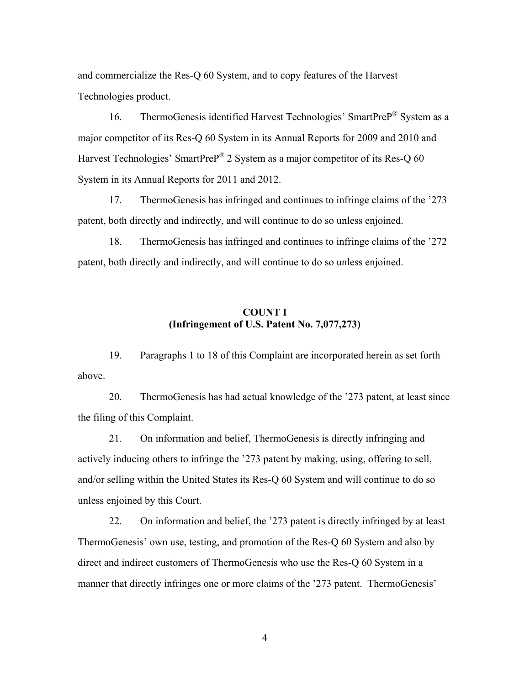and commercialize the Res-Q 60 System, and to copy features of the Harvest Technologies product.

16. ThermoGenesis identified Harvest Technologies' SmartPreP<sup>®</sup> System as a major competitor of its Res-Q 60 System in its Annual Reports for 2009 and 2010 and Harvest Technologies' SmartPreP<sup>®</sup> 2 System as a major competitor of its Res-Q 60 System in its Annual Reports for 2011 and 2012.

17. ThermoGenesis has infringed and continues to infringe claims of the '273 patent, both directly and indirectly, and will continue to do so unless enjoined.

18. ThermoGenesis has infringed and continues to infringe claims of the '272 patent, both directly and indirectly, and will continue to do so unless enjoined.

# **COUNT I (Infringement of U.S. Patent No. 7,077,273)**

19. Paragraphs 1 to 18 of this Complaint are incorporated herein as set forth above.

20. ThermoGenesis has had actual knowledge of the '273 patent, at least since the filing of this Complaint.

21. On information and belief, ThermoGenesis is directly infringing and actively inducing others to infringe the '273 patent by making, using, offering to sell, and/or selling within the United States its Res-Q 60 System and will continue to do so unless enjoined by this Court.

22. On information and belief, the '273 patent is directly infringed by at least ThermoGenesis' own use, testing, and promotion of the Res-Q 60 System and also by direct and indirect customers of ThermoGenesis who use the Res-Q 60 System in a manner that directly infringes one or more claims of the '273 patent. ThermoGenesis'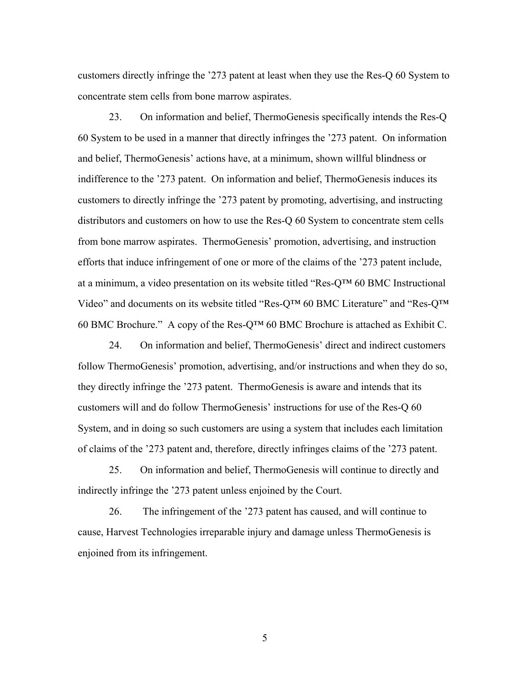customers directly infringe the '273 patent at least when they use the Res-Q 60 System to concentrate stem cells from bone marrow aspirates.

23. On information and belief, ThermoGenesis specifically intends the Res-Q 60 System to be used in a manner that directly infringes the '273 patent. On information and belief, ThermoGenesis' actions have, at a minimum, shown willful blindness or indifference to the '273 patent. On information and belief, ThermoGenesis induces its customers to directly infringe the '273 patent by promoting, advertising, and instructing distributors and customers on how to use the Res-Q 60 System to concentrate stem cells from bone marrow aspirates. ThermoGenesis' promotion, advertising, and instruction efforts that induce infringement of one or more of the claims of the '273 patent include, at a minimum, a video presentation on its website titled "Res-Q™ 60 BMC Instructional Video" and documents on its website titled "Res-Q™ 60 BMC Literature" and "Res-Q™ 60 BMC Brochure." A copy of the Res-Q<sup>TM</sup> 60 BMC Brochure is attached as Exhibit C.

24. On information and belief, ThermoGenesis' direct and indirect customers follow ThermoGenesis' promotion, advertising, and/or instructions and when they do so, they directly infringe the '273 patent. ThermoGenesis is aware and intends that its customers will and do follow ThermoGenesis' instructions for use of the Res-Q 60 System, and in doing so such customers are using a system that includes each limitation of claims of the '273 patent and, therefore, directly infringes claims of the '273 patent.

25. On information and belief, ThermoGenesis will continue to directly and indirectly infringe the '273 patent unless enjoined by the Court.

26. The infringement of the '273 patent has caused, and will continue to cause, Harvest Technologies irreparable injury and damage unless ThermoGenesis is enjoined from its infringement.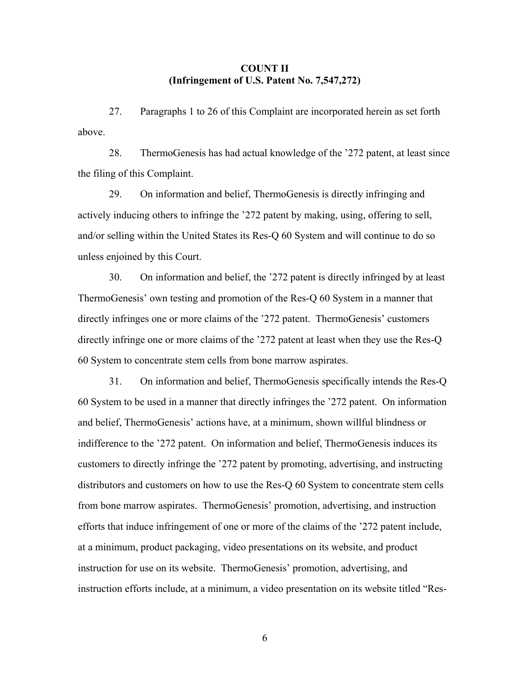## **COUNT II (Infringement of U.S. Patent No. 7,547,272)**

27. Paragraphs 1 to 26 of this Complaint are incorporated herein as set forth above.

28. ThermoGenesis has had actual knowledge of the '272 patent, at least since the filing of this Complaint.

29. On information and belief, ThermoGenesis is directly infringing and actively inducing others to infringe the '272 patent by making, using, offering to sell, and/or selling within the United States its Res-Q 60 System and will continue to do so unless enjoined by this Court.

30. On information and belief, the '272 patent is directly infringed by at least ThermoGenesis' own testing and promotion of the Res-Q 60 System in a manner that directly infringes one or more claims of the '272 patent. ThermoGenesis' customers directly infringe one or more claims of the '272 patent at least when they use the Res-Q 60 System to concentrate stem cells from bone marrow aspirates.

31. On information and belief, ThermoGenesis specifically intends the Res-Q 60 System to be used in a manner that directly infringes the '272 patent. On information and belief, ThermoGenesis' actions have, at a minimum, shown willful blindness or indifference to the '272 patent. On information and belief, ThermoGenesis induces its customers to directly infringe the '272 patent by promoting, advertising, and instructing distributors and customers on how to use the Res-Q 60 System to concentrate stem cells from bone marrow aspirates. ThermoGenesis' promotion, advertising, and instruction efforts that induce infringement of one or more of the claims of the '272 patent include, at a minimum, product packaging, video presentations on its website, and product instruction for use on its website. ThermoGenesis' promotion, advertising, and instruction efforts include, at a minimum, a video presentation on its website titled "Res-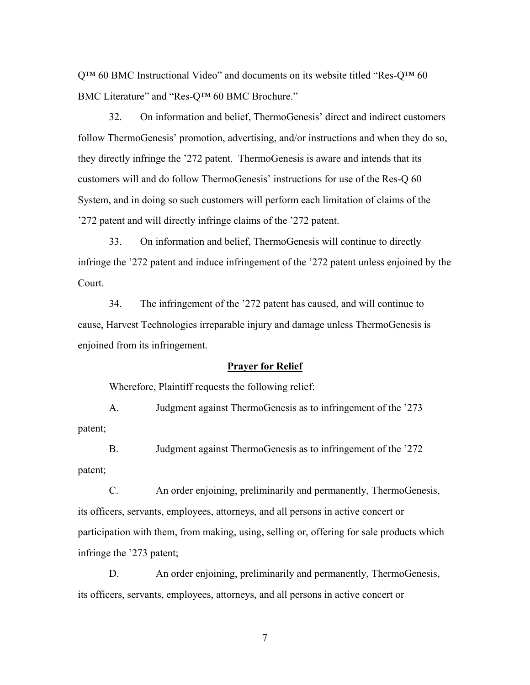$Q^{TM}$  60 BMC Instructional Video" and documents on its website titled "Res- $Q^{TM}$  60 BMC Literature" and "Res-Q™ 60 BMC Brochure."

32. On information and belief, ThermoGenesis' direct and indirect customers follow ThermoGenesis' promotion, advertising, and/or instructions and when they do so, they directly infringe the '272 patent. ThermoGenesis is aware and intends that its customers will and do follow ThermoGenesis' instructions for use of the Res-Q 60 System, and in doing so such customers will perform each limitation of claims of the '272 patent and will directly infringe claims of the '272 patent.

33. On information and belief, ThermoGenesis will continue to directly infringe the '272 patent and induce infringement of the '272 patent unless enjoined by the Court.

34. The infringement of the '272 patent has caused, and will continue to cause, Harvest Technologies irreparable injury and damage unless ThermoGenesis is enjoined from its infringement.

## **Prayer for Relief**

Wherefore, Plaintiff requests the following relief:

A. Judgment against ThermoGenesis as to infringement of the '273 patent;

B. Judgment against ThermoGenesis as to infringement of the '272 patent;

C. An order enjoining, preliminarily and permanently, ThermoGenesis, its officers, servants, employees, attorneys, and all persons in active concert or participation with them, from making, using, selling or, offering for sale products which infringe the '273 patent;

D. An order enjoining, preliminarily and permanently, ThermoGenesis, its officers, servants, employees, attorneys, and all persons in active concert or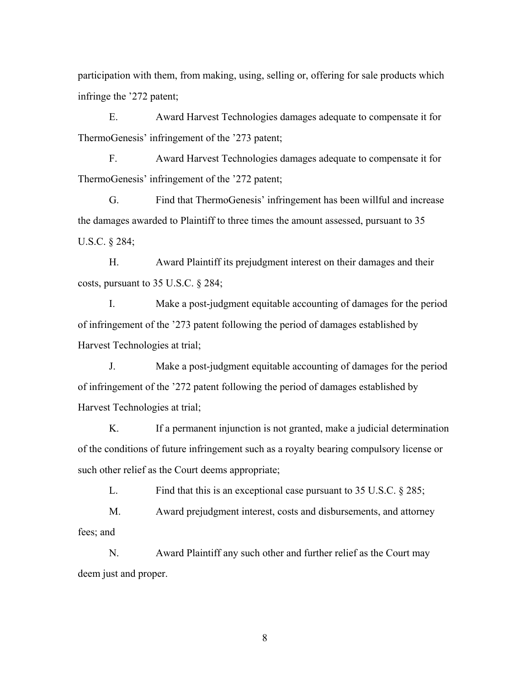participation with them, from making, using, selling or, offering for sale products which infringe the '272 patent;

E. Award Harvest Technologies damages adequate to compensate it for ThermoGenesis' infringement of the '273 patent;

F. Award Harvest Technologies damages adequate to compensate it for ThermoGenesis' infringement of the '272 patent;

G. Find that ThermoGenesis' infringement has been willful and increase the damages awarded to Plaintiff to three times the amount assessed, pursuant to 35 U.S.C. § 284;

H. Award Plaintiff its prejudgment interest on their damages and their costs, pursuant to 35 U.S.C. § 284;

I. Make a post-judgment equitable accounting of damages for the period of infringement of the '273 patent following the period of damages established by Harvest Technologies at trial;

J. Make a post-judgment equitable accounting of damages for the period of infringement of the '272 patent following the period of damages established by Harvest Technologies at trial;

K. If a permanent injunction is not granted, make a judicial determination of the conditions of future infringement such as a royalty bearing compulsory license or such other relief as the Court deems appropriate;

L. Find that this is an exceptional case pursuant to 35 U.S.C. § 285;

M. Award prejudgment interest, costs and disbursements, and attorney fees; and

N. Award Plaintiff any such other and further relief as the Court may deem just and proper.